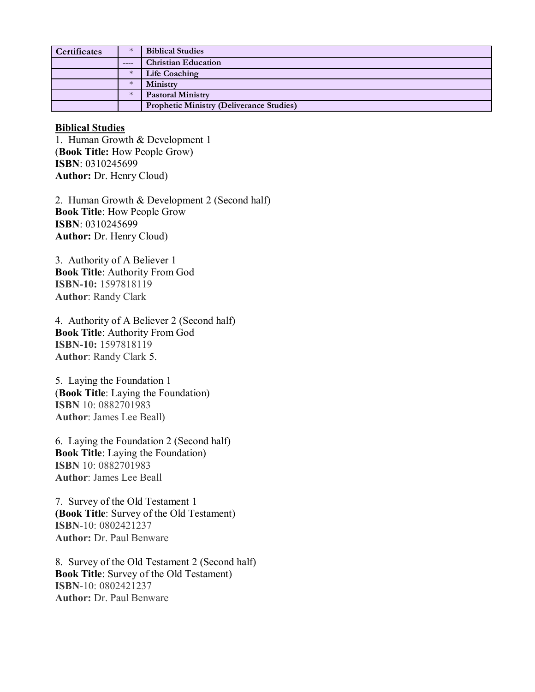| <b>Certificates</b> | $\ast$  | <b>Biblical Studies</b>                         |
|---------------------|---------|-------------------------------------------------|
|                     | $--- -$ | <b>Christian Education</b>                      |
|                     | $\ast$  | <b>Life Coaching</b>                            |
|                     | $\ast$  | Ministry                                        |
|                     | $\ast$  | <b>Pastoral Ministry</b>                        |
|                     |         | <b>Prophetic Ministry (Deliverance Studies)</b> |

## **Biblical Studies**

1. Human Growth & Development 1 (**Book Title:** How People Grow) **ISBN**: 0310245699 **Author:** Dr. Henry Cloud)

2. Human Growth & Development 2 (Second half) **Book Title**: How People Grow **ISBN**: 0310245699 **Author:** Dr. Henry Cloud)

3. Authority of A Believer 1 **Book Title**: Authority From God **ISBN-10:** 1597818119 **Author**: Randy Clark

4. Authority of A Believer 2 (Second half) **Book Title**: Authority From God **ISBN-10:** 1597818119 **Author**: Randy Clark 5.

5. Laying the Foundation 1 (**Book Title**: Laying the Foundation) **ISBN** 10: 0882701983 **Author**: James Lee Beall)

6. Laying the Foundation 2 (Second half) **Book Title**: Laying the Foundation) **ISBN** 10: 0882701983 **Author**: James Lee Beall

7. Survey of the Old Testament 1 **(Book Title**: Survey of the Old Testament) **ISBN**-10: 0802421237 **Author:** Dr. Paul Benware

8. Survey of the Old Testament 2 (Second half) **Book Title**: Survey of the Old Testament) **ISBN**-10: 0802421237 **Author:** Dr. Paul Benware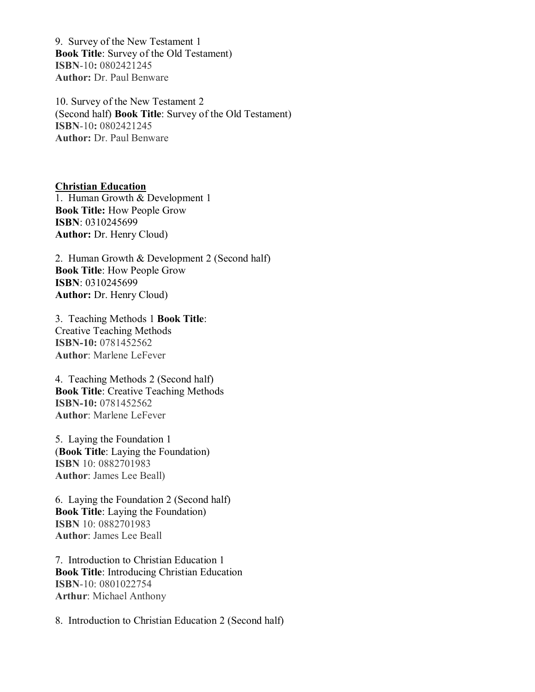9. Survey of the New Testament 1 **Book Title**: Survey of the Old Testament) **ISBN**-10**:** 0802421245 **Author:** Dr. Paul Benware

10. Survey of the New Testament 2 (Second half) **Book Title**: Survey of the Old Testament) **ISBN**-10**:** 0802421245 **Author:** Dr. Paul Benware

**Christian Education** 1. Human Growth & Development 1 **Book Title:** How People Grow **ISBN**: 0310245699 **Author:** Dr. Henry Cloud)

2. Human Growth & Development 2 (Second half) **Book Title**: How People Grow **ISBN**: 0310245699 **Author:** Dr. Henry Cloud)

3. Teaching Methods 1 **Book Title**: Creative Teaching Methods **ISBN-10:** 0781452562 **Author**: Marlene LeFever

4. Teaching Methods 2 (Second half) **Book Title**: Creative Teaching Methods **ISBN-10:** 0781452562 **Author**: Marlene LeFever

5. Laying the Foundation 1 (**Book Title**: Laying the Foundation) **ISBN** 10: 0882701983 **Author**: James Lee Beall)

6. Laying the Foundation 2 (Second half) **Book Title**: Laying the Foundation) **ISBN** 10: 0882701983 **Author**: James Lee Beall

7. Introduction to Christian Education 1 **Book Title**: Introducing Christian Education **ISBN**-10: 0801022754 **Arthur**: Michael Anthony

8. Introduction to Christian Education 2 (Second half)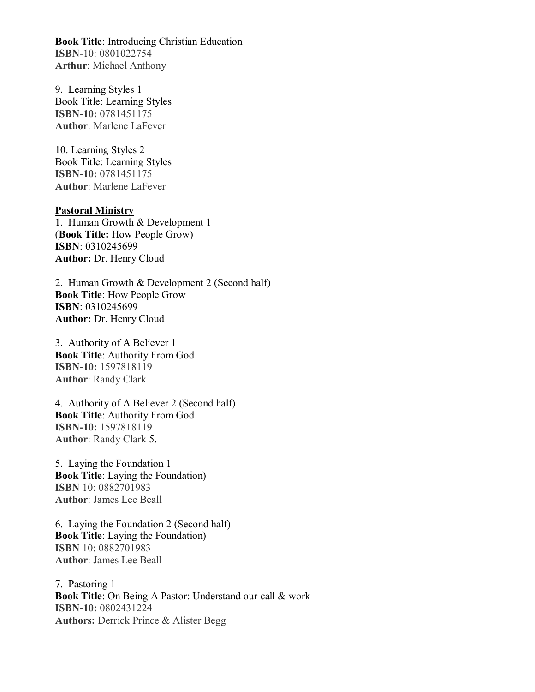**Book Title**: Introducing Christian Education **ISBN**-10: 0801022754 **Arthur**: Michael Anthony

9. Learning Styles 1 Book Title: Learning Styles **ISBN-10:** 0781451175 **Author**: Marlene LaFever

10. Learning Styles 2 Book Title: Learning Styles **ISBN-10:** 0781451175 **Author**: Marlene LaFever

## **Pastoral Ministry**

1. Human Growth & Development 1 (**Book Title:** How People Grow) **ISBN**: 0310245699 **Author:** Dr. Henry Cloud

2. Human Growth & Development 2 (Second half) **Book Title**: How People Grow **ISBN**: 0310245699 **Author:** Dr. Henry Cloud

3. Authority of A Believer 1 **Book Title**: Authority From God **ISBN-10:** 1597818119 **Author**: Randy Clark

4. Authority of A Believer 2 (Second half) **Book Title**: Authority From God **ISBN-10:** 1597818119 **Author**: Randy Clark 5.

5. Laying the Foundation 1 **Book Title**: Laying the Foundation) **ISBN** 10: 0882701983 **Author**: James Lee Beall

6. Laying the Foundation 2 (Second half) **Book Title**: Laying the Foundation) **ISBN** 10: 0882701983 **Author**: James Lee Beall

7. Pastoring 1 **Book Title**: On Being A Pastor: Understand our call & work **ISBN-10:** 0802431224 **Authors:** Derrick Prince & Alister Begg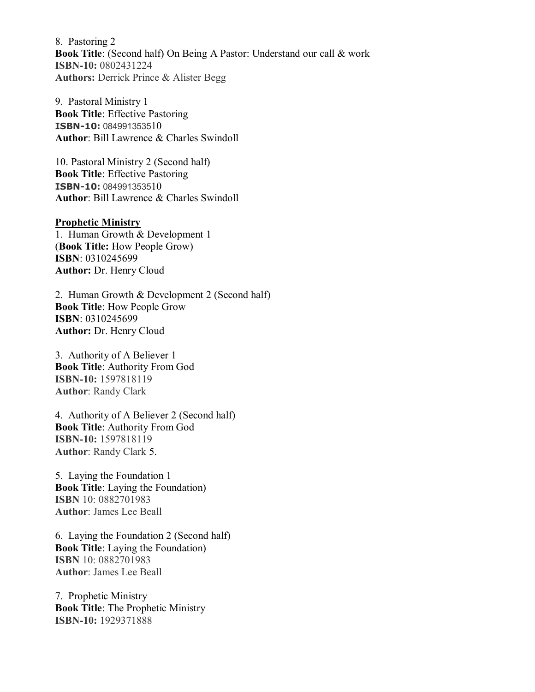8. Pastoring 2 **Book Title**: (Second half) On Being A Pastor: Understand our call & work **ISBN-10:** 0802431224 **Authors:** Derrick Prince & Alister Begg

9. Pastoral Ministry 1 **Book Title**: Effective Pastoring **ISBN-10:** 084991353510 **Author**: Bill Lawrence & Charles Swindoll

10. Pastoral Ministry 2 (Second half) **Book Title**: Effective Pastoring **ISBN-10:** 084991353510 **Author**: Bill Lawrence & Charles Swindoll

## **Prophetic Ministry**

1. Human Growth & Development 1 (**Book Title:** How People Grow) **ISBN**: 0310245699 **Author:** Dr. Henry Cloud

2. Human Growth & Development 2 (Second half) **Book Title**: How People Grow **ISBN**: 0310245699 **Author:** Dr. Henry Cloud

3. Authority of A Believer 1 **Book Title**: Authority From God **ISBN-10:** 1597818119 **Author**: Randy Clark

4. Authority of A Believer 2 (Second half) **Book Title**: Authority From God **ISBN-10:** 1597818119 **Author**: Randy Clark 5.

5. Laying the Foundation 1 **Book Title**: Laying the Foundation) **ISBN** 10: 0882701983 **Author**: James Lee Beall

6. Laying the Foundation 2 (Second half) **Book Title**: Laying the Foundation) **ISBN** 10: 0882701983 **Author**: James Lee Beall

7. Prophetic Ministry **Book Title**: The Prophetic Ministry **ISBN-10:** 1929371888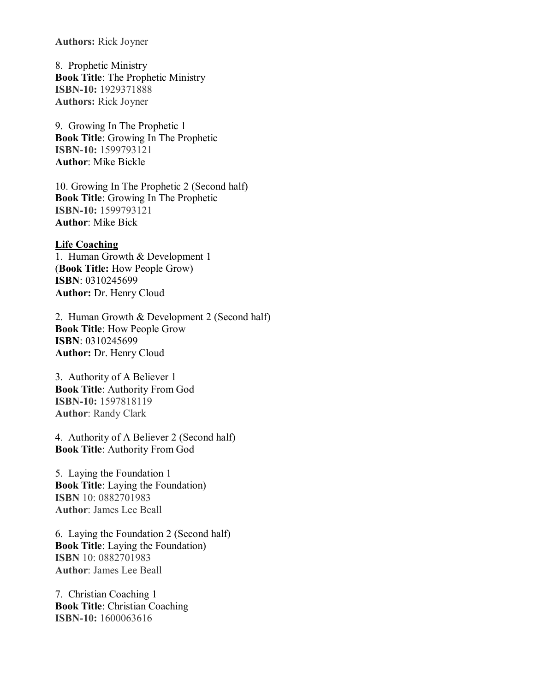**Authors:** Rick Joyner

8. Prophetic Ministry **Book Title**: The Prophetic Ministry **ISBN-10:** 1929371888 **Authors:** Rick Joyner

9. Growing In The Prophetic 1 **Book Title**: Growing In The Prophetic **ISBN-10:** 1599793121 **Author**: Mike Bickle

10. Growing In The Prophetic 2 (Second half) **Book Title**: Growing In The Prophetic **ISBN-10:** 1599793121 **Author**: Mike Bick

**Life Coaching** 1. Human Growth & Development 1 (**Book Title:** How People Grow) **ISBN**: 0310245699 **Author:** Dr. Henry Cloud

2. Human Growth & Development 2 (Second half) **Book Title**: How People Grow **ISBN**: 0310245699 **Author:** Dr. Henry Cloud

3. Authority of A Believer 1 **Book Title**: Authority From God **ISBN-10:** 1597818119 **Author**: Randy Clark

4. Authority of A Believer 2 (Second half) **Book Title**: Authority From God

5. Laying the Foundation 1 **Book Title**: Laying the Foundation) **ISBN** 10: 0882701983 **Author**: James Lee Beall

6. Laying the Foundation 2 (Second half) **Book Title**: Laying the Foundation) **ISBN** 10: 0882701983 **Author**: James Lee Beall

7. Christian Coaching 1 **Book Title**: Christian Coaching **ISBN-10:** 1600063616